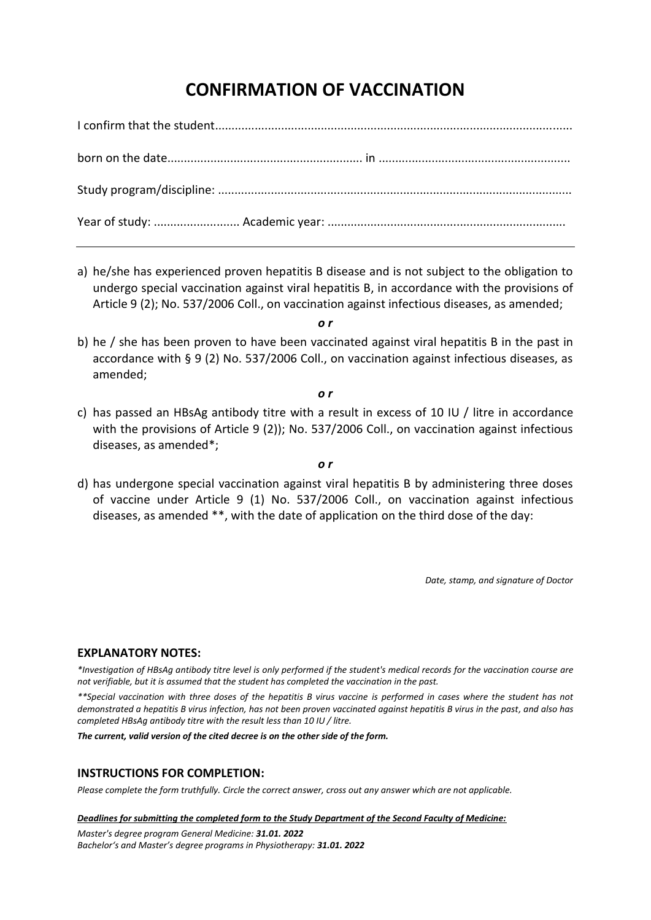# **CONFIRMATION OF VACCINATION**

a) he/she has experienced proven hepatitis B disease and is not subject to the obligation to undergo special vaccination against viral hepatitis B, in accordance with the provisions of Article 9 (2); No. 537/2006 Coll., on vaccination against infectious diseases, as amended;

*o r*

b) he / she has been proven to have been vaccinated against viral hepatitis B in the past in accordance with § 9 (2) No. 537/2006 Coll., on vaccination against infectious diseases, as amended;

*o r*

c) has passed an HBsAg antibody titre with a result in excess of 10 IU / litre in accordance with the provisions of Article 9 (2)); No. 537/2006 Coll., on vaccination against infectious diseases, as amended\*;

*o r*

d) has undergone special vaccination against viral hepatitis B by administering three doses of vaccine under Article 9 (1) No. 537/2006 Coll., on vaccination against infectious diseases, as amended \*\*, with the date of application on the third dose of the day:

*Date, stamp, and signature of Doctor*

### **EXPLANATORY NOTES:**

*\*Investigation of HBsAg antibody titre level is only performed if the student's medical records for the vaccination course are not verifiable, but it is assumed that the student has completed the vaccination in the past.*

*\*\*Special vaccination with three doses of the hepatitis B virus vaccine is performed in cases where the student has not demonstrated a hepatitis B virus infection, has not been proven vaccinated against hepatitis B virus in the past, and also has completed HBsAg antibody titre with the result less than 10 IU / litre.*

*The current, valid version of the cited decree is on the other side of the form.*

### **INSTRUCTIONS FOR COMPLETION:**

*Please complete the form truthfully. Circle the correct answer, cross out any answer which are not applicable.*

#### *Deadlines for submitting the completed form to the Study Department of the Second Faculty of Medicine:*

*Master's degree program General Medicine: 31.01. 2022 Bachelor's and Master's degree programs in Physiotherapy: 31.01. 2022*